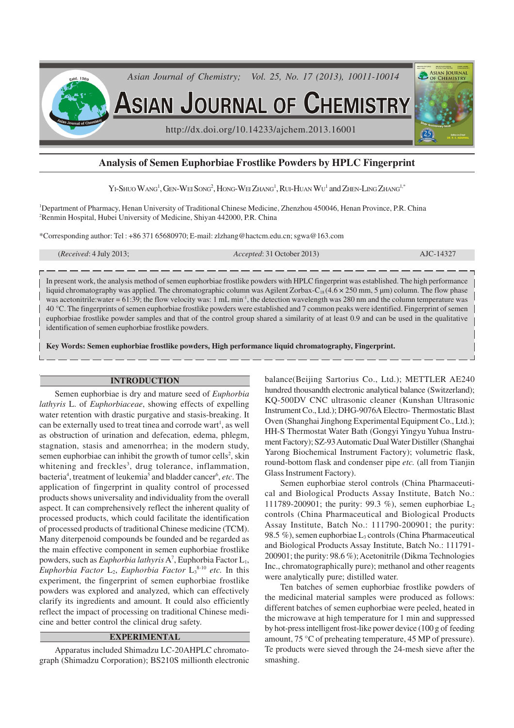

# **Analysis of Semen Euphorbiae Frostlike Powders by HPLC Fingerprint**

Yi-Shuo Wang<sup>1</sup>, Gen-Wei Song<sup>2</sup>, Hong-Wei Zhang<sup>1</sup>, Rui-Huan Wu<sup>1</sup> and Zhen-Ling Zhang<sup>1,\*</sup>

<sup>1</sup>Department of Pharmacy, Henan University of Traditional Chinese Medicine, Zhenzhou 450046, Henan Province, P.R. China <sup>2</sup>Renmin Hospital, Hubei University of Medicine, Shiyan 442000, P.R. China

\*Corresponding author: Tel : +86 371 65680970; E-mail: zlzhang@hactcm.edu.cn; sgwa@163.com

(*Received*: 4 July 2013; *Accepted*: 31 October 2013) AJC-14327

In present work, the analysis method of semen euphorbiae frostlike powders with HPLC fingerprint was established. The high performance liquid chromatography was applied. The chromatographic column was Agilent Zorbax-C<sub>18</sub> (4.6  $\times$  250 mm, 5 µm) column. The flow phase was acetonitrile:water  $= 61:39$ ; the flow velocity was: 1 mL min<sup>-1</sup>, the detection wavelength was 280 nm and the column temperature was 40 °C. The fingerprints of semen euphorbiae frostlike powders were established and 7 common peaks were identified. Fingerprint of semen euphorbiae frostlike powder samples and that of the control group shared a similarity of at least 0.9 and can be used in the qualitative identification of semen euphorbiae frostlike powders.

**Key Words: Semen euphorbiae frostlike powders, High performance liquid chromatography, Fingerprint.**

### **INTRODUCTION**

Semen euphorbiae is dry and mature seed of *Euphorbia lathyris* L. of *Euphorbiaceae*, showing effects of expelling water retention with drastic purgative and stasis-breaking. It can be externally used to treat tinea and corrode wart<sup>1</sup>, as well as obstruction of urination and defecation, edema, phlegm, stagnation, stasis and amenorrhea; in the modern study, semen euphorbiae can inhibit the growth of tumor cells<sup>2</sup>, skin whitening and freckles<sup>3</sup>, drug tolerance, inflammation, bacteria<sup>4</sup>, treatment of leukemia<sup>5</sup> and bladder cancer<sup>6</sup>, *etc*. The application of fingerprint in quality control of processed products shows universality and individuality from the overall aspect. It can comprehensively reflect the inherent quality of processed products, which could facilitate the identification of processed products of traditional Chinese medicine (TCM). Many diterpenoid compounds be founded and be regarded as the main effective component in semen euphorbiae frostlike powders, such as *Euphorbia lathyris* A<sup>7</sup>, Euphorbia Factor L<sub>1</sub>, *Euphorbia Factor*  $L_2$ , *Euphorbia Factor*  $L_3^{\text{8-10}}$  *etc.* In this experiment, the fingerprint of semen euphorbiae frostlike powders was explored and analyzed, which can effectively clarify its ingredients and amount. It could also efficiently reflect the impact of processing on traditional Chinese medicine and better control the clinical drug safety.

## **EXPERIMENTAL**

Apparatus included Shimadzu LC-20AHPLC chromatograph (Shimadzu Corporation); BS210S millionth electronic balance(Beijing Sartorius Co., Ltd.); METTLER AE240 hundred thousandth electronic analytical balance (Switzerland); KQ-500DV CNC ultrasonic cleaner (Kunshan Ultrasonic Instrument Co., Ltd.); DHG-9076A Electro- Thermostatic Blast Oven (Shanghai Jinghong Experimental Equipment Co., Ltd.); HH-S Thermostat Water Bath (Gongyi Yingyu Yuhua Instrument Factory); SZ-93 Automatic Dual Water Distiller (Shanghai Yarong Biochemical Instrument Factory); volumetric flask, round-bottom flask and condenser pipe *etc.* (all from Tianjin Glass Instrument Factory).

Semen euphorbiae sterol controls (China Pharmaceutical and Biological Products Assay Institute, Batch No.: 111789-200901; the purity: 99.3 %), semen euphorbiae  $L_2$ controls (China Pharmaceutical and Biological Products Assay Institute, Batch No.: 111790-200901; the purity: 98.5 %), semen euphorbiae L3 controls (China Pharmaceutical and Biological Products Assay Institute, Batch No.: 111791- 200901; the purity: 98.6 %); Acetonitrile (Dikma Technologies Inc., chromatographically pure); methanol and other reagents were analytically pure; distilled water.

Ten batches of semen euphorbiae frostlike powders of the medicinal material samples were produced as follows: different batches of semen euphorbiae were peeled, heated in the microwave at high temperature for 1 min and suppressed by hot-press intelligent frost-like power device (100 g of feeding amount, 75 °C of preheating temperature, 45 MP of pressure). Te products were sieved through the 24-mesh sieve after the smashing.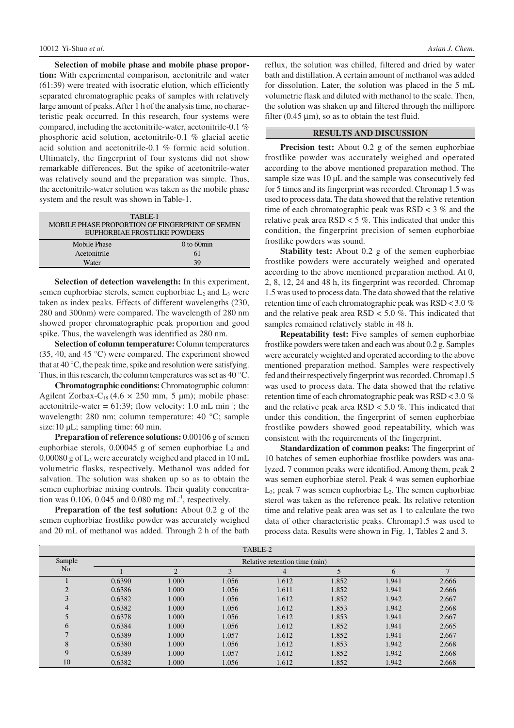**Selection of mobile phase and mobile phase proportion:** With experimental comparison, acetonitrile and water (61:39) were treated with isocratic elution, which efficiently separated chromatographic peaks of samples with relatively large amount of peaks. After 1 h of the analysis time, no characteristic peak occurred. In this research, four systems were compared, including the acetonitrile-water, acetonitrile-0.1 % phosphoric acid solution, acetonitrile-0.1 % glacial acetic acid solution and acetonitrile-0.1 % formic acid solution. Ultimately, the fingerprint of four systems did not show remarkable differences. But the spike of acetonitrile-water was relatively sound and the preparation was simple. Thus, the acetonitrile-water solution was taken as the mobile phase system and the result was shown in Table-1.

| TABLE-1<br>MOBILE PHASE PROPORTION OF FINGERPRINT OF SEMEN<br>EUPHORBIAE FROSTLIKE POWDERS |                  |  |  |
|--------------------------------------------------------------------------------------------|------------------|--|--|
| Mobile Phase                                                                               | $0$ to 60 $\min$ |  |  |
| Acetonitrile<br>61                                                                         |                  |  |  |
| Water                                                                                      | 39               |  |  |

**Selection of detection wavelength:** In this experiment, semen euphorbiae sterols, semen euphorbiae  $L_2$  and  $L_3$  were taken as index peaks. Effects of different wavelengths (230, 280 and 300nm) were compared. The wavelength of 280 nm showed proper chromatographic peak proportion and good spike. Thus, the wavelength was identified as 280 nm.

**Selection of column temperature:** Column temperatures (35, 40, and 45 °C) were compared. The experiment showed that at 40  $\degree$ C, the peak time, spike and resolution were satisfying. Thus, in this research, the column temperatures was set as 40 °C.

**Chromatographic conditions:** Chromatographic column: Agilent Zorbax-C<sub>18</sub> (4.6  $\times$  250 mm, 5 µm); mobile phase: acetonitrile-water =  $61:39$ ; flow velocity: 1.0 mL min<sup>-1</sup>; the wavelength: 280 nm; column temperature: 40 °C; sample size:10  $\mu$ L; sampling time: 60 min.

**Preparation of reference solutions:** 0.00106 g of semen euphorbiae sterols,  $0.00045$  g of semen euphorbiae  $L_2$  and 0.00080 g of L3 were accurately weighed and placed in 10 mL volumetric flasks, respectively. Methanol was added for salvation. The solution was shaken up so as to obtain the semen euphorbiae mixing controls. Their quality concentration was  $0.106$ ,  $0.045$  and  $0.080$  mg mL<sup>-1</sup>, respectively.

**Preparation of the test solution:** About 0.2 g of the semen euphorbiae frostlike powder was accurately weighed and 20 mL of methanol was added. Through 2 h of the bath

reflux, the solution was chilled, filtered and dried by water bath and distillation. A certain amount of methanol was added for dissolution. Later, the solution was placed in the 5 mL volumetric flask and diluted with methanol to the scale. Then, the solution was shaken up and filtered through the millipore filter  $(0.45 \mu m)$ , so as to obtain the test fluid.

#### **RESULTS AND DISCUSSION**

**Precision test:** About 0.2 g of the semen euphorbiae frostlike powder was accurately weighed and operated according to the above mentioned preparation method. The sample size was 10  $\mu$ L and the sample was consecutively fed for 5 times and its fingerprint was recorded. Chromap 1.5 was used to process data. The data showed that the relative retention time of each chromatographic peak was  $\text{RSD} < 3$  % and the relative peak area  $\text{RSD} < 5\%$ . This indicated that under this condition, the fingerprint precision of semen euphorbiae frostlike powders was sound.

**Stability test:** About 0.2 g of the semen euphorbiae frostlike powders were accurately weighed and operated according to the above mentioned preparation method. At 0, 2, 8, 12, 24 and 48 h, its fingerprint was recorded. Chromap 1.5 was used to process data. The data showed that the relative retention time of each chromatographic peak was RSD < 3.0 % and the relative peak area RSD < 5.0 %. This indicated that samples remained relatively stable in 48 h.

**Repeatability test:** Five samples of semen euphorbiae frostlike powders were taken and each was about 0.2 g. Samples were accurately weighted and operated according to the above mentioned preparation method. Samples were respectively fed and their respectively fingerprint was recorded. Chromap1.5 was used to process data. The data showed that the relative retention time of each chromatographic peak was RSD < 3.0 % and the relative peak area RSD < 5.0 %. This indicated that under this condition, the fingerprint of semen euphorbiae frostlike powders showed good repeatability, which was consistent with the requirements of the fingerprint.

**Standardization of common peaks:** The fingerprint of 10 batches of semen euphorbiae frostlike powders was analyzed. 7 common peaks were identified. Among them, peak 2 was semen euphorbiae sterol. Peak 4 was semen euphorbiae L<sub>3</sub>; peak 7 was semen euphorbiae L<sub>2</sub>. The semen euphorbiae sterol was taken as the reference peak. Its relative retention time and relative peak area was set as 1 to calculate the two data of other characteristic peaks. Chromap1.5 was used to process data. Results were shown in Fig. 1, Tables 2 and 3.

| TABLE-2        |                               |       |       |       |       |       |       |
|----------------|-------------------------------|-------|-------|-------|-------|-------|-------|
| Sample         | Relative retention time (min) |       |       |       |       |       |       |
| No.            |                               |       | 3     | 4     |       | 6     |       |
|                | 0.6390                        | 1.000 | 1.056 | 1.612 | 1.852 | 1.941 | 2.666 |
| $\overline{2}$ | 0.6386                        | 1.000 | 1.056 | 1.611 | 1.852 | 1.941 | 2.666 |
| 3              | 0.6382                        | 1.000 | 1.056 | 1.612 | 1.852 | 1.942 | 2.667 |
| $\overline{4}$ | 0.6382                        | 1.000 | 1.056 | 1.612 | 1.853 | 1.942 | 2.668 |
| 5              | 0.6378                        | 1.000 | 1.056 | 1.612 | 1.853 | 1.941 | 2.667 |
| 6              | 0.6384                        | 1.000 | 1.056 | 1.612 | 1.852 | 1.941 | 2.665 |
| $\mathbf{r}$   | 0.6389                        | 1.000 | 1.057 | 1.612 | 1.852 | 1.941 | 2.667 |
| 8              | 0.6380                        | 1.000 | 1.056 | 1.612 | 1.853 | 1.942 | 2.668 |
| 9              | 0.6389                        | 1.000 | 1.057 | 1.612 | 1.852 | 1.942 | 2.668 |
| 10             | 0.6382                        | 1.000 | 1.056 | 1.612 | 1.852 | 1.942 | 2.668 |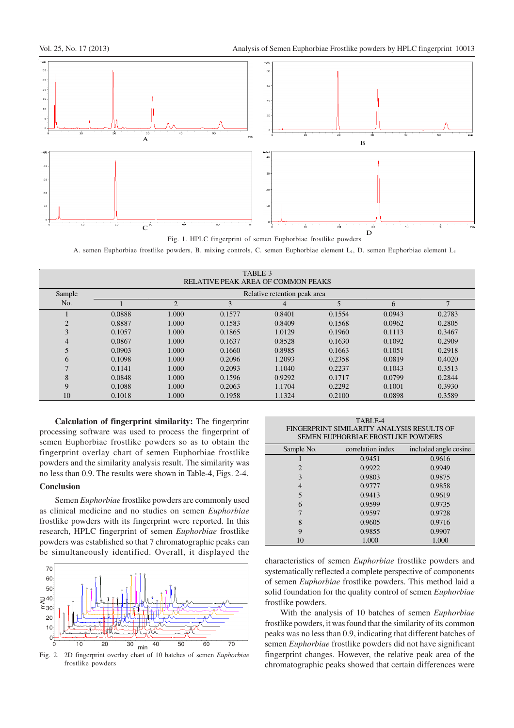

Fig. 1. HPLC fingerprint of semen Euphorbiae frostlike powders

A. semen Euphorbiae frostlike powders, B. mixing controls, C. semen Euphorbiae element L<sub>1</sub>, D. semen Euphorbiae element L<sub>3</sub>

| TABLE-3<br>RELATIVE PEAK AREA OF COMMON PEAKS |                              |       |        |        |        |        |        |
|-----------------------------------------------|------------------------------|-------|--------|--------|--------|--------|--------|
| Sample                                        | Relative retention peak area |       |        |        |        |        |        |
| No.                                           |                              | ↑     |        | 4      |        | 6      |        |
|                                               | 0.0888                       | 1.000 | 0.1577 | 0.8401 | 0.1554 | 0.0943 | 0.2783 |
| ↑                                             | 0.8887                       | 1.000 | 0.1583 | 0.8409 | 0.1568 | 0.0962 | 0.2805 |
| 3                                             | 0.1057                       | 1.000 | 0.1865 | 1.0129 | 0.1960 | 0.1113 | 0.3467 |
| 4                                             | 0.0867                       | 1.000 | 0.1637 | 0.8528 | 0.1630 | 0.1092 | 0.2909 |
|                                               | 0.0903                       | 1.000 | 0.1660 | 0.8985 | 0.1663 | 0.1051 | 0.2918 |
| 6                                             | 0.1098                       | 1.000 | 0.2096 | 1.2093 | 0.2358 | 0.0819 | 0.4020 |
|                                               | 0.1141                       | 1.000 | 0.2093 | 1.1040 | 0.2237 | 0.1043 | 0.3513 |
| 8                                             | 0.0848                       | 1.000 | 0.1596 | 0.9292 | 0.1717 | 0.0799 | 0.2844 |
| 9                                             | 0.1088                       | 1.000 | 0.2063 | 1.1704 | 0.2292 | 0.1001 | 0.3930 |
| 10                                            | 0.1018                       | 1.000 | 0.1958 | 1.1324 | 0.2100 | 0.0898 | 0.3589 |

**Calculation of fingerprint similarity:** The fingerprint processing software was used to process the fingerprint of semen Euphorbiae frostlike powders so as to obtain the fingerprint overlay chart of semen Euphorbiae frostlike powders and the similarity analysis result. The similarity was no less than 0.9. The results were shown in Table-4, Figs. 2-4.

# **Conclusion**

Semen *Euphorbiae* frostlike powders are commonly used as clinical medicine and no studies on semen *Euphorbiae* frostlike powders with its fingerprint were reported. In this research, HPLC fingerprint of semen *Euphorbiae* frostlike powders was established so that 7 chromatographic peaks can be simultaneously identified. Overall, it displayed the



frostlike powders

TABLE-4 FINGERPRINT SIMILARITY ANALYSIS RESULTS OF SEMEN EUPHORBIAE FROSTLIKE POWDERS

| Sample No.     | correlation index | included angle cosine |
|----------------|-------------------|-----------------------|
|                | 0.9451            | 0.9616                |
| $\overline{c}$ | 0.9922            | 0.9949                |
| 3              | 0.9803            | 0.9875                |
| 4              | 0.9777            | 0.9858                |
| 5              | 0.9413            | 0.9619                |
| 6              | 0.9599            | 0.9735                |
| 7              | 0.9597            | 0.9728                |
| 8              | 0.9605            | 0.9716                |
| 9              | 0.9855            | 0.9907                |
| 10             | 1.000             | 1.000                 |

characteristics of semen *Euphorbiae* frostlike powders and systematically reflected a complete perspective of components of semen *Euphorbiae* frostlike powders. This method laid a solid foundation for the quality control of semen *Euphorbiae* frostlike powders.

With the analysis of 10 batches of semen *Euphorbiae* frostlike powders, it was found that the similarity of its common peaks was no less than 0.9, indicating that different batches of semen *Euphorbiae* frostlike powders did not have significant fingerprint changes. However, the relative peak area of the chromatographic peaks showed that certain differences were